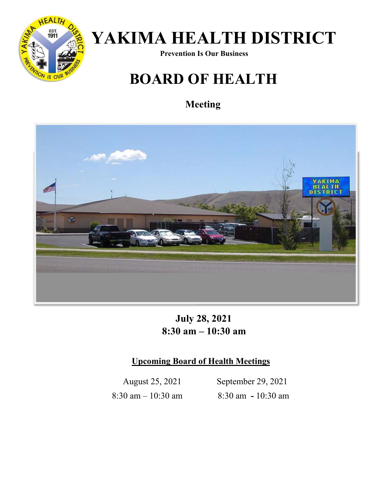

# *YAKIMA HEALTH DISTRICT* Prevention Is Our Business

## **BOARD OF HEALTH**

### **Meeting**



## **July 28, 2021 8:30 am – 10:30 am**

#### **Upcoming Board of Health Meetings**

 August 25, 2021 September 29, 2021 8:30 am – 10:30 am 8:30 am **-** 10:30 am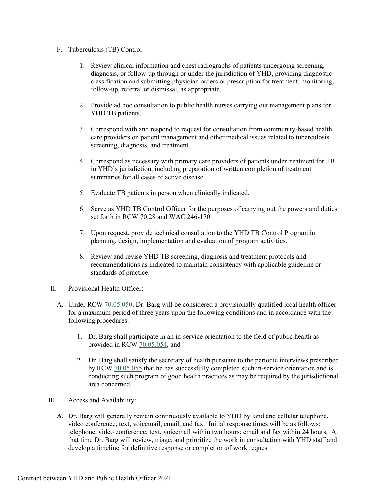#### F. Tuberculosis (TB) Control

- 1. Review clinical information and chest radiographs of patients undergoing screening, diagnosis, or follow-up through or under the jurisdiction of YHD, providing diagnostic classification and submitting physician orders or prescription for treatment, monitoring, follow-up, referral or dismissal, as appropriate.
- 2. Provide ad hoc consultation to public health nurses carrying out management plans for YHD TB patients.
- 3. Correspond with and respond to request for consultation from community-based health care providers on patient management and other medical issues related to tuberculosis screening, diagnosis, and treatment.
- 4. Correspond as necessary with primary care providers of patients under treatment for TB in YHD's jurisdiction, including preparation of written completion of treatment summaries for all cases of active disease.
- 5. Evaluate TB patients in person when clinically indicated.
- 6. Serve as YHD TB Control Officer for the purposes of carrying out the powers and duties set forth in RCW 70.28 and WAC 246-170.
- 7. Upon request, provide technical consultation to the YHD TB Control Program in planning, design, implementation and evaluation of program activities.
- 8. Review and revise YHD TB screening, diagnosis and treatment protocols and recommendations as indicated to maintain consistency with applicable guideline or standards of practice.
- II. Provisional Health Officer:
	- A. Under RCW [70.05.050,](http://app.leg.wa.gov/RCW/default.aspx?cite=70.05.050) Dr. Barg will be considered a provisionally qualified local health officer for a maximum period of three years upon the following conditions and in accordance with the following procedures:
		- 1. Dr. Barg shall participate in an in-service orientation to the field of public health as provided in RCW [70.05.054,](http://app.leg.wa.gov/RCW/default.aspx?cite=70.05.054) and
		- 2. Dr. Barg shall satisfy the secretary of health pursuant to the periodic interviews prescribed by RCW [70.05.055](http://app.leg.wa.gov/RCW/default.aspx?cite=70.05.055) that he has successfully completed such in-service orientation and is conducting such program of good health practices as may be required by the jurisdictional area concerned.
- III. Access and Availability:
	- A. Dr. Barg will generally remain continuously available to YHD by land and cellular telephone, video conference, text, voicemail, email, and fax. Initial response times will be as follows: telephone, video conference, text, voicemail within two hours; email and fax within 24 hours. At that time Dr. Barg will review, triage, and prioritize the work in consultation with YHD staff and develop a timeline for definitive response or completion of work request.